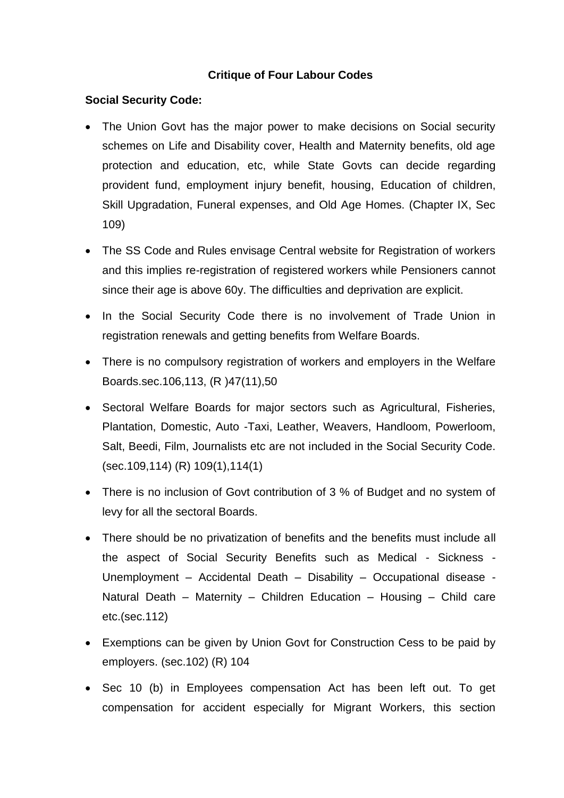#### **Critique of Four Labour Codes**

#### **Social Security Code:**

- The Union Govt has the major power to make decisions on Social security schemes on Life and Disability cover, Health and Maternity benefits, old age protection and education, etc, while State Govts can decide regarding provident fund, employment injury benefit, housing, Education of children, Skill Upgradation, Funeral expenses, and Old Age Homes. (Chapter IX, Sec 109)
- The SS Code and Rules envisage Central website for Registration of workers and this implies re-registration of registered workers while Pensioners cannot since their age is above 60y. The difficulties and deprivation are explicit.
- In the Social Security Code there is no involvement of Trade Union in registration renewals and getting benefits from Welfare Boards.
- There is no compulsory registration of workers and employers in the Welfare Boards.sec.106,113, (R )47(11),50
- Sectoral Welfare Boards for major sectors such as Agricultural, Fisheries, Plantation, Domestic, Auto -Taxi, Leather, Weavers, Handloom, Powerloom, Salt, Beedi, Film, Journalists etc are not included in the Social Security Code. (sec.109,114) (R) 109(1),114(1)
- There is no inclusion of Govt contribution of 3 % of Budget and no system of levy for all the sectoral Boards.
- There should be no privatization of benefits and the benefits must include all the aspect of Social Security Benefits such as Medical - Sickness - Unemployment – Accidental Death – Disability – Occupational disease - Natural Death – Maternity – Children Education – Housing – Child care etc.(sec.112)
- Exemptions can be given by Union Govt for Construction Cess to be paid by employers. (sec.102) (R) 104
- Sec 10 (b) in Employees compensation Act has been left out. To get compensation for accident especially for Migrant Workers, this section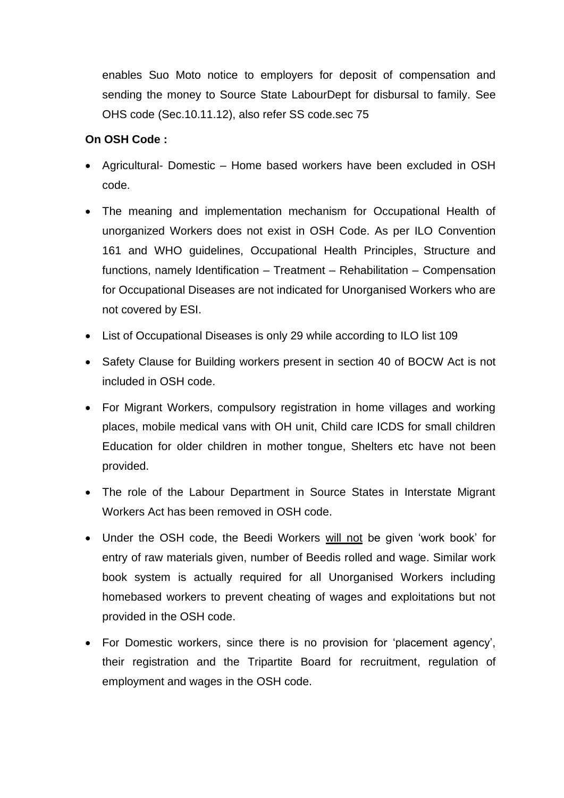enables Suo Moto notice to employers for deposit of compensation and sending the money to Source State LabourDept for disbursal to family. See OHS code (Sec.10.11.12), also refer SS code.sec 75

#### **On OSH Code :**

- Agricultural- Domestic Home based workers have been excluded in OSH code.
- The meaning and implementation mechanism for Occupational Health of unorganized Workers does not exist in OSH Code. As per ILO Convention 161 and WHO guidelines, Occupational Health Principles, Structure and functions, namely Identification – Treatment – Rehabilitation – Compensation for Occupational Diseases are not indicated for Unorganised Workers who are not covered by ESI.
- List of Occupational Diseases is only 29 while according to ILO list 109
- Safety Clause for Building workers present in section 40 of BOCW Act is not included in OSH code.
- For Migrant Workers, compulsory registration in home villages and working places, mobile medical vans with OH unit, Child care ICDS for small children Education for older children in mother tongue, Shelters etc have not been provided.
- The role of the Labour Department in Source States in Interstate Migrant Workers Act has been removed in OSH code.
- Under the OSH code, the Beedi Workers will not be given 'work book' for entry of raw materials given, number of Beedis rolled and wage. Similar work book system is actually required for all Unorganised Workers including homebased workers to prevent cheating of wages and exploitations but not provided in the OSH code.
- For Domestic workers, since there is no provision for 'placement agency', their registration and the Tripartite Board for recruitment, regulation of employment and wages in the OSH code.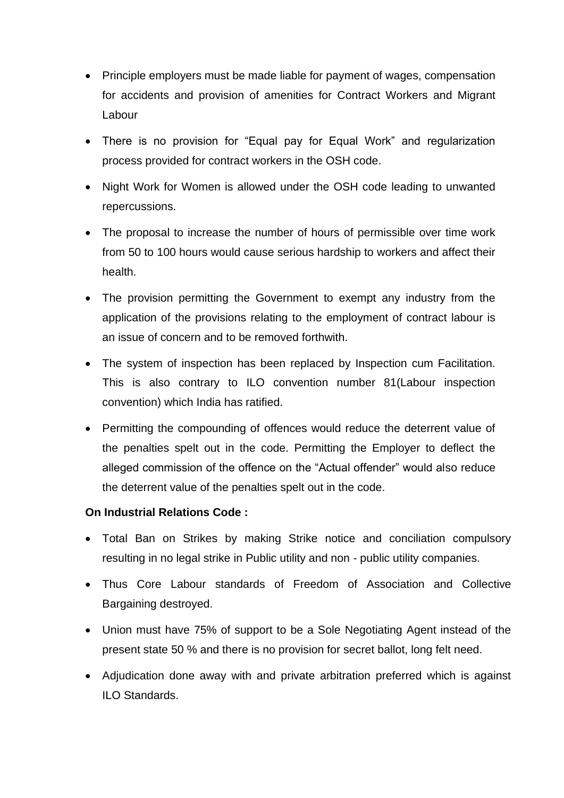- Principle employers must be made liable for payment of wages, compensation for accidents and provision of amenities for Contract Workers and Migrant Labour
- There is no provision for "Equal pay for Equal Work" and regularization process provided for contract workers in the OSH code.
- Night Work for Women is allowed under the OSH code leading to unwanted repercussions.
- The proposal to increase the number of hours of permissible over time work from 50 to 100 hours would cause serious hardship to workers and affect their health.
- The provision permitting the Government to exempt any industry from the application of the provisions relating to the employment of contract labour is an issue of concern and to be removed forthwith.
- The system of inspection has been replaced by Inspection cum Facilitation. This is also contrary to ILO convention number 81(Labour inspection convention) which India has ratified.
- Permitting the compounding of offences would reduce the deterrent value of the penalties spelt out in the code. Permitting the Employer to deflect the alleged commission of the offence on the "Actual offender" would also reduce the deterrent value of the penalties spelt out in the code.

#### **On Industrial Relations Code :**

- Total Ban on Strikes by making Strike notice and conciliation compulsory resulting in no legal strike in Public utility and non - public utility companies.
- Thus Core Labour standards of Freedom of Association and Collective Bargaining destroyed.
- Union must have 75% of support to be a Sole Negotiating Agent instead of the present state 50 % and there is no provision for secret ballot, long felt need.
- Adjudication done away with and private arbitration preferred which is against ILO Standards.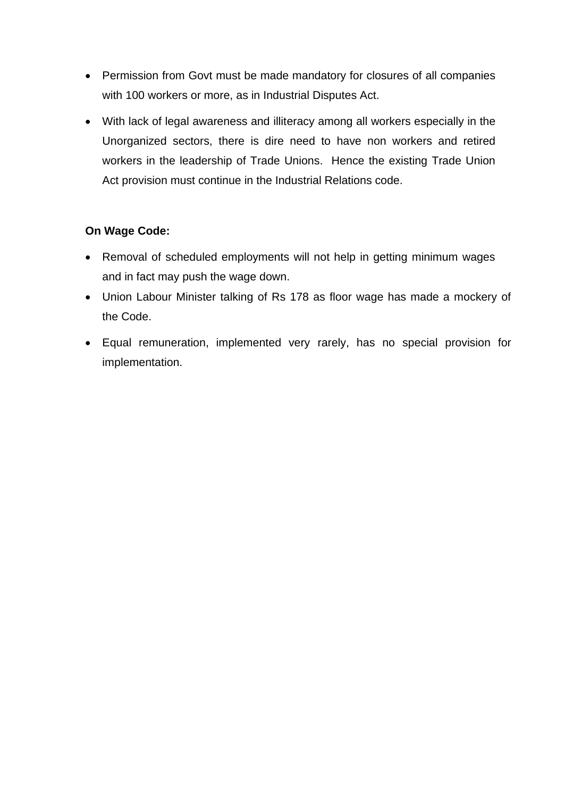- Permission from Govt must be made mandatory for closures of all companies with 100 workers or more, as in Industrial Disputes Act.
- With lack of legal awareness and illiteracy among all workers especially in the Unorganized sectors, there is dire need to have non workers and retired workers in the leadership of Trade Unions. Hence the existing Trade Union Act provision must continue in the Industrial Relations code.

#### **On Wage Code:**

- Removal of scheduled employments will not help in getting minimum wages and in fact may push the wage down.
- Union Labour Minister talking of Rs 178 as floor wage has made a mockery of the Code.
- Equal remuneration, implemented very rarely, has no special provision for implementation.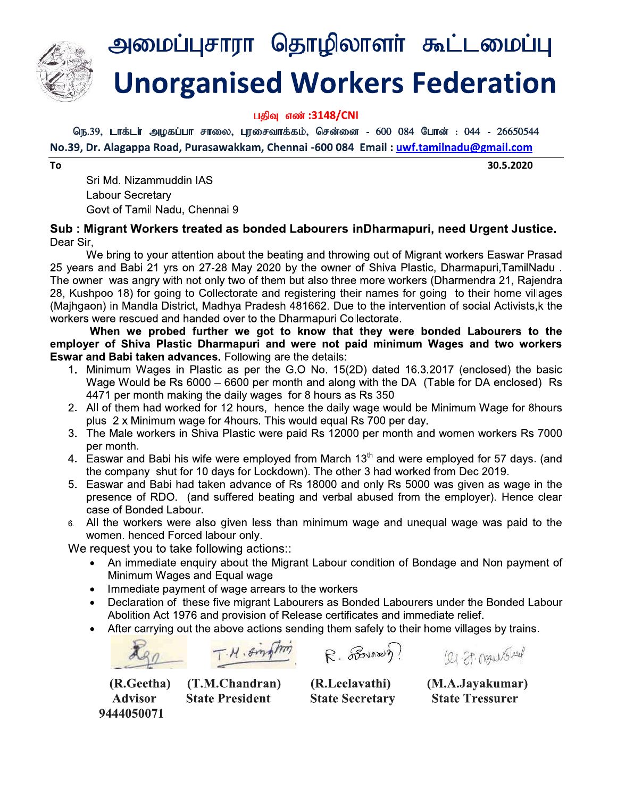

# Unorganised Workers Federation **SHIFFING SHIFFING THE SECTS**<br> **SHIFFING WOTKETS Fed**<br> **SHIFFING THE SECTS FED**<br> **SHIFFING THE SECTS FED**<br> **ETTEM**<br>
THE MAS<br>
AS<br>
REGRIFING THE SHIFFING THE AS<br>
REGRIFING THE SHIFFING SHIFFING AS<br>
REGRIFING THE SHIFFING SHI rganised w **EXERT SERVERT SERVERT SERVERT SERVERT SERVERT SERVERT SERVERT SERVERT SERVERT SERVERT SERVERT SERVERT SERVERT SERVERT SURVERT SERVERT SURVERT SURVERT SURVERT SURVERT SURVERT SURVERT SURVERT SURVERT SURVERT SURVERT SURVERT**

பதிவு எண் :3148/CNI

No.39, Dr. Alagappa Road, Purasawakkam, Chennai -600 084 Email : <mark>uwf.tamilnadu@gmail.com</mark>

To

Unorganised Workers Federation<br>
(GB,39, LTdsLif Algostium Finson, Lynsensinds.ati.), Glershansen - 600 084 Gumst : 044 - 26650544<br>
No.39, Dr. Alagappa Road, Purasawakkam, Chennai -600 084 Email : <u>uwf.tamilnadu@gmail.com</u><br> 28, Kushpoo 18) for going to Collectorate and registering their names for going to their home villages (Maihgaon) in Mandla District, Madhya Pradesh 481662. Due to the intervention of social Activists, k the workers were rescued and handed over to the Dharmapuri Collectorate. <sup>1</sup>. **Unorganised Workers Federation**<br>
1994 604:3148/CNI<br>
1994 604:3148/CNI<br>
Dr. Alagappa Road, Purasawakkam, chemai-500 084 Email: <u>uwf.tamilnadu@gmail.com</u><br>
Dr. Alagappa Road, Purasawakkam, chemai-500 084 Email: <u>uwf.tam</u>

When we probed further we got to know that they were bonded Labourers to the employer of Shiva Plastic Dharmapuri and were not paid minimum Wages and two workers **Eswar and Babi taken advances.** Following are the details:

- 1. Minimum Wages in Plastic as per the G.O No. 15(2D) dated 16.3.2017 (enclosed) the basic Wage Would be Rs  $6000 - 6600$  per month and along with the DA (Table for DA enclosed) Rs 4471 per month making the daily wages for 8 hours as Rs 350
- 2. All of them had worked for 12 hours, hence the daily wage would be Minimum Wage for 8hours plus 2 x Minimum wage for 4 hours. This would equal Rs 700 per day.
- 3. The Male workers in Shiva Plastic were paid Rs 12000 per month and women workers Rs 7000 per month.
- 4. Easwar and Babi his wife were employed from March  $13<sup>th</sup>$  and were employed for 57 days. (and the company shut for 10 days for Lockdown). The other 3 had worked from Dec 2019.
- 5. Easwar and Babi had taken advance of Rs 18000 and only Rs 5000 was given as wage in the presence of RDO. (and suffered beating and verbal abused from the employer). Hence clear case of Bonded Labour.
- 6. All the workers were also given less than minimum wage and unegual wage was paid to the women. henced Forced labour only.

We request you to take following actions::

- An immediate enquiry about the Migrant Labour condition of Bondage and Non payment of Minimum Wages and Equal wage
- Immediate payment of wage arrears to the workers<br>• Declaration of these five migrant Labourers as Bor
- Declaration of these five migrant Labourers as Bonded Labourers under the Bonded Labour Abolition Act 1976 and provision of Release certificates and immediate relief.
- After carrying out the above actions sending them safely to their home villages by trains.

T.M. Sington R. Sovano ? (2) It organished

(K.Geetha) (T.M.Chandran) (K.Leelavathi) (M.A.Jayakumar) Advisor State President State Secretary State Tressurer 9444050071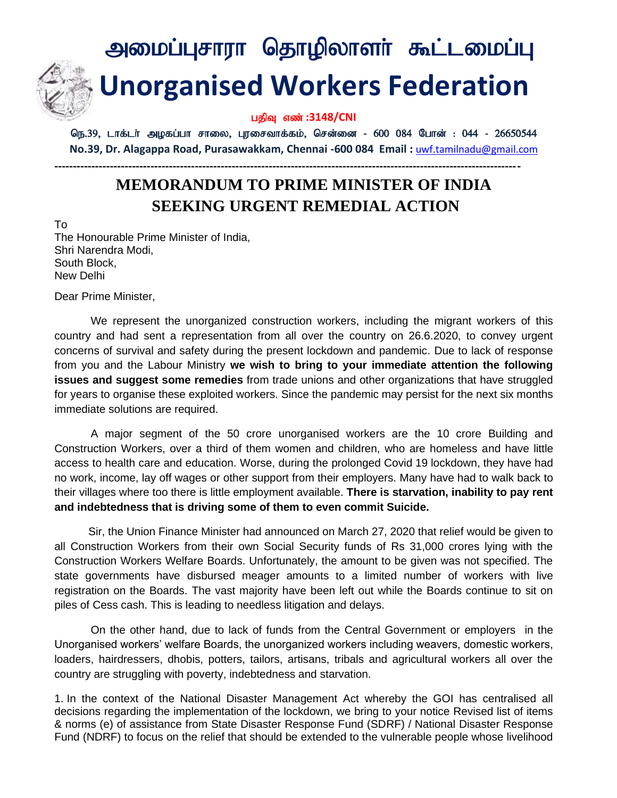# அமைப்புசாரா தொழிலாளா் கூட்டமைப்பு  **Unorganised Workers Federation**

#### பதிவு எண் :3148/CNI

நெ.39, டாக்டர் அழகப்பா சாலை, புரசைவாக்கம், சென்னை - 600 084 போன் : 044 - 26650544 **No.39, Dr. Alagappa Road, Purasawakkam, Chennai -600 084 Email :** [uwf.tamilnadu@gmail.com](mailto:uwf.tamilnadu@gmail.com)

**------------------------------------------------------------------------------------------------------------------------------**

### **MEMORANDUM TO PRIME MINISTER OF INDIA SEEKING URGENT REMEDIAL ACTION**

To The Honourable Prime Minister of India, Shri Narendra Modi, South Block, New Delhi

Dear Prime Minister,

We represent the unorganized construction workers, including the migrant workers of this country and had sent a representation from all over the country on 26.6.2020, to convey urgent concerns of survival and safety during the present lockdown and pandemic. Due to lack of response from you and the Labour Ministry **we wish to bring to your immediate attention the following issues and suggest some remedies** from trade unions and other organizations that have struggled for years to organise these exploited workers. Since the pandemic may persist for the next six months immediate solutions are required.

A major segment of the 50 crore unorganised workers are the 10 crore Building and Construction Workers, over a third of them women and children, who are homeless and have little access to health care and education. Worse, during the prolonged Covid 19 lockdown, they have had no work, income, lay off wages or other support from their employers. Many have had to walk back to their villages where too there is little employment available. **There is starvation, inability to pay rent and indebtedness that is driving some of them to even commit Suicide.**

 Sir, the Union Finance Minister had announced on March 27, 2020 that relief would be given to all Construction Workers from their own Social Security funds of Rs 31,000 crores lying with the Construction Workers Welfare Boards. Unfortunately, the amount to be given was not specified. The state governments have disbursed meager amounts to a limited number of workers with live registration on the Boards. The vast majority have been left out while the Boards continue to sit on piles of Cess cash. This is leading to needless litigation and delays.

On the other hand, due to lack of funds from the Central Government or employers in the Unorganised workers' welfare Boards, the unorganized workers including weavers, domestic workers, loaders, hairdressers, dhobis, potters, tailors, artisans, tribals and agricultural workers all over the country are struggling with poverty, indebtedness and starvation.

1. In the context of the National Disaster Management Act whereby the GOI has centralised all decisions regarding the implementation of the lockdown, we bring to your notice Revised list of items & norms (e) of assistance from State Disaster Response Fund (SDRF) / National Disaster Response Fund (NDRF) to focus on the relief that should be extended to the vulnerable people whose livelihood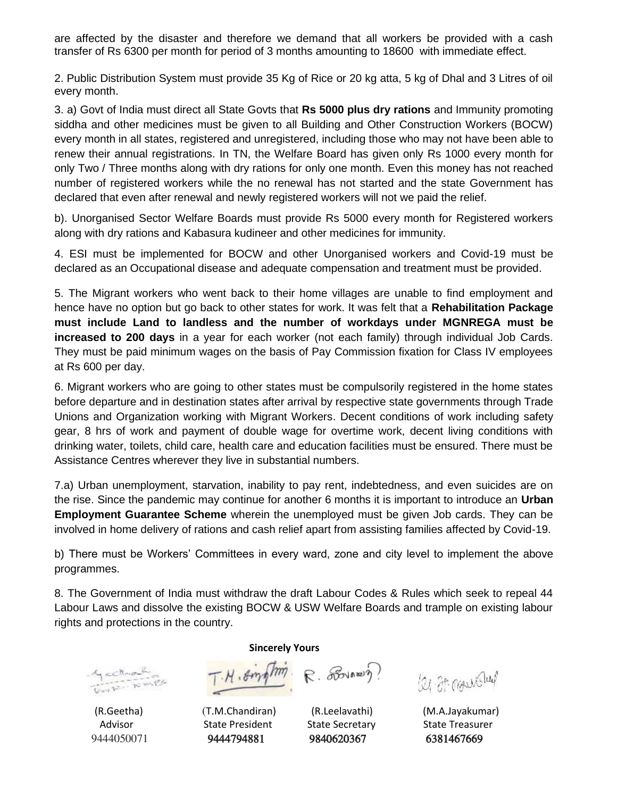are affected by the disaster and therefore we demand that all workers be provided with a cash transfer of Rs 6300 per month for period of 3 months amounting to 18600 with immediate effect.

2. Public Distribution System must provide 35 Kg of Rice or 20 kg atta, 5 kg of Dhal and 3 Litres of oil every month.

3. a) Govt of India must direct all State Govts that **Rs 5000 plus dry rations** and Immunity promoting siddha and other medicines must be given to all Building and Other Construction Workers (BOCW) every month in all states, registered and unregistered, including those who may not have been able to renew their annual registrations. In TN, the Welfare Board has given only Rs 1000 every month for only Two / Three months along with dry rations for only one month. Even this money has not reached number of registered workers while the no renewal has not started and the state Government has declared that even after renewal and newly registered workers will not we paid the relief.

b). Unorganised Sector Welfare Boards must provide Rs 5000 every month for Registered workers along with dry rations and Kabasura kudineer and other medicines for immunity.

4. ESI must be implemented for BOCW and other Unorganised workers and Covid-19 must be declared as an Occupational disease and adequate compensation and treatment must be provided.

5. The Migrant workers who went back to their home villages are unable to find employment and hence have no option but go back to other states for work. It was felt that a **Rehabilitation Package must include Land to landless and the number of workdays under MGNREGA must be increased to 200 days** in a year for each worker (not each family) through individual Job Cards. They must be paid minimum wages on the basis of Pay Commission fixation for Class IV employees at Rs 600 per day.

6. Migrant workers who are going to other states must be compulsorily registered in the home states before departure and in destination states after arrival by respective state governments through Trade Unions and Organization working with Migrant Workers. Decent conditions of work including safety gear, 8 hrs of work and payment of double wage for overtime work, decent living conditions with drinking water, toilets, child care, health care and education facilities must be ensured. There must be Assistance Centres wherever they live in substantial numbers.

7.a) Urban unemployment, starvation, inability to pay rent, indebtedness, and even suicides are on the rise. Since the pandemic may continue for another 6 months it is important to introduce an **Urban Employment Guarantee Scheme** wherein the unemployed must be given Job cards. They can be involved in home delivery of rations and cash relief apart from assisting families affected by Covid-19.

b) There must be Workers' Committees in every ward, zone and city level to implement the above programmes.

8. The Government of India must withdraw the draft Labour Codes & Rules which seek to repeal 44 Labour Laws and dissolve the existing BOCW & USW Welfare Boards and trample on existing labour rights and protections in the country.

Gerthank

**Sincerely Yours** 

T.H. Singhm R. Lover )

Advisor **State President** State Secretary State Treasurer 9444050071 9444794881 9840620367 6381467669

leg. 27. mountained

(R.Geetha) (T.M.Chandiran) (R.Leelavathi) (M.A.Jayakumar)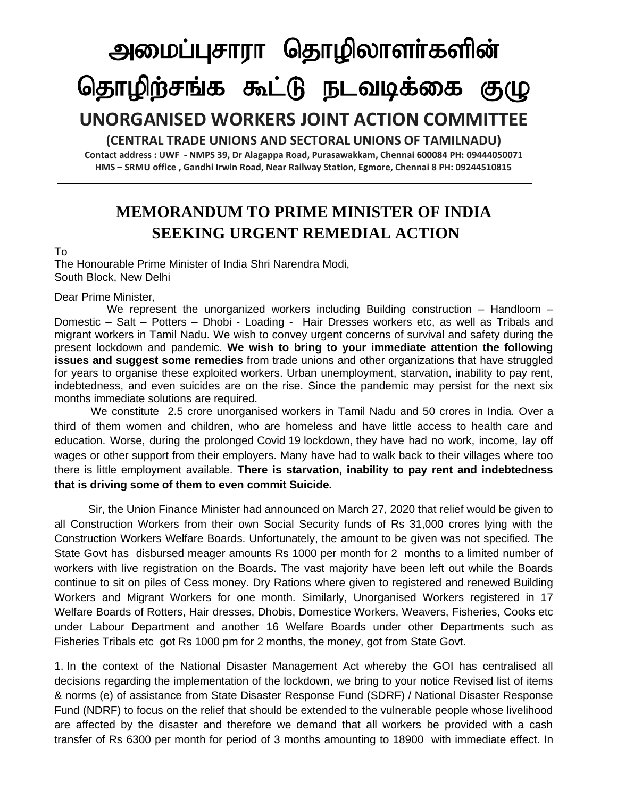# அமைப்புசாரா தொழிலாளா்களின் தொழிற்சங்க கூட்டு நடவடிக்கை குழு

## **UNORGANISED WORKERS JOINT ACTION COMMITTEE**

**(CENTRAL TRADE UNIONS AND SECTORAL UNIONS OF TAMILNADU)**

**Contact address : UWF - NMPS 39, Dr Alagappa Road, Purasawakkam, Chennai 600084 PH: 09444050071 HMS – SRMU office , Gandhi Irwin Road, Near Railway Station, Egmore, Chennai 8 PH: 09244510815**

### **MEMORANDUM TO PRIME MINISTER OF INDIA SEEKING URGENT REMEDIAL ACTION**

#### To

The Honourable Prime Minister of India Shri Narendra Modi, South Block, New Delhi

#### Dear Prime Minister,

We represent the unorganized workers including Building construction - Handloom -Domestic – Salt – Potters – Dhobi - Loading - Hair Dresses workers etc, as well as Tribals and migrant workers in Tamil Nadu. We wish to convey urgent concerns of survival and safety during the present lockdown and pandemic. **We wish to bring to your immediate attention the following issues and suggest some remedies** from trade unions and other organizations that have struggled for years to organise these exploited workers. Urban unemployment, starvation, inability to pay rent, indebtedness, and even suicides are on the rise. Since the pandemic may persist for the next six months immediate solutions are required.

We constitute 2.5 crore unorganised workers in Tamil Nadu and 50 crores in India. Over a third of them women and children, who are homeless and have little access to health care and education. Worse, during the prolonged Covid 19 lockdown, they have had no work, income, lay off wages or other support from their employers. Many have had to walk back to their villages where too there is little employment available. **There is starvation, inability to pay rent and indebtedness that is driving some of them to even commit Suicide.**

 Sir, the Union Finance Minister had announced on March 27, 2020 that relief would be given to all Construction Workers from their own Social Security funds of Rs 31,000 crores lying with the Construction Workers Welfare Boards. Unfortunately, the amount to be given was not specified. The State Govt has disbursed meager amounts Rs 1000 per month for 2 months to a limited number of workers with live registration on the Boards. The vast majority have been left out while the Boards continue to sit on piles of Cess money. Dry Rations where given to registered and renewed Building Workers and Migrant Workers for one month. Similarly, Unorganised Workers registered in 17 Welfare Boards of Rotters, Hair dresses, Dhobis, Domestice Workers, Weavers, Fisheries, Cooks etc under Labour Department and another 16 Welfare Boards under other Departments such as Fisheries Tribals etc got Rs 1000 pm for 2 months, the money, got from State Govt.

1. In the context of the National Disaster Management Act whereby the GOI has centralised all decisions regarding the implementation of the lockdown, we bring to your notice Revised list of items & norms (e) of assistance from State Disaster Response Fund (SDRF) / National Disaster Response Fund (NDRF) to focus on the relief that should be extended to the vulnerable people whose livelihood are affected by the disaster and therefore we demand that all workers be provided with a cash transfer of Rs 6300 per month for period of 3 months amounting to 18900 with immediate effect. In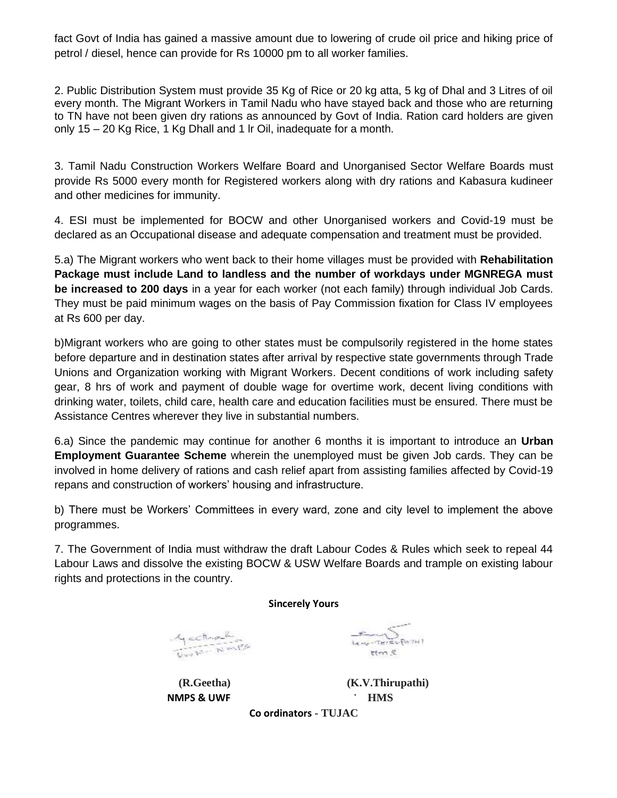fact Govt of India has gained a massive amount due to lowering of crude oil price and hiking price of petrol / diesel, hence can provide for Rs 10000 pm to all worker families.

2. Public Distribution System must provide 35 Kg of Rice or 20 kg atta, 5 kg of Dhal and 3 Litres of oil every month. The Migrant Workers in Tamil Nadu who have stayed back and those who are returning to TN have not been given dry rations as announced by Govt of India. Ration card holders are given only 15 – 20 Kg Rice, 1 Kg Dhall and 1 lr Oil, inadequate for a month.

3. Tamil Nadu Construction Workers Welfare Board and Unorganised Sector Welfare Boards must provide Rs 5000 every month for Registered workers along with dry rations and Kabasura kudineer and other medicines for immunity.

4. ESI must be implemented for BOCW and other Unorganised workers and Covid-19 must be declared as an Occupational disease and adequate compensation and treatment must be provided.

5.a) The Migrant workers who went back to their home villages must be provided with **Rehabilitation Package must include Land to landless and the number of workdays under MGNREGA must be increased to 200 days** in a year for each worker (not each family) through individual Job Cards. They must be paid minimum wages on the basis of Pay Commission fixation for Class IV employees at Rs 600 per day.

b)Migrant workers who are going to other states must be compulsorily registered in the home states before departure and in destination states after arrival by respective state governments through Trade Unions and Organization working with Migrant Workers. Decent conditions of work including safety gear, 8 hrs of work and payment of double wage for overtime work, decent living conditions with drinking water, toilets, child care, health care and education facilities must be ensured. There must be Assistance Centres wherever they live in substantial numbers.

6.a) Since the pandemic may continue for another 6 months it is important to introduce an **Urban Employment Guarantee Scheme** wherein the unemployed must be given Job cards. They can be involved in home delivery of rations and cash relief apart from assisting families affected by Covid-19 repans and construction of workers' housing and infrastructure.

b) There must be Workers' Committees in every ward, zone and city level to implement the above programmes.

7. The Government of India must withdraw the draft Labour Codes & Rules which seek to repeal 44 Labour Laws and dissolve the existing BOCW & USW Welfare Boards and trample on existing labour rights and protections in the country.

**Sincerely Yours** 

Gectional

 **NMPS & UWF** ; **HMS**

 $\sum_{\mathbf{L}_{\mathbf{C}} \sim \mathbf{C} \sim \mathbf{T} \mathbf{R}^{\prime} \in \mathcal{L} \backslash \{0, 7n\}}$ 2 mt

**(R.Geetha) (K.V.Thirupathi)**

**Co ordinators - TUJAC**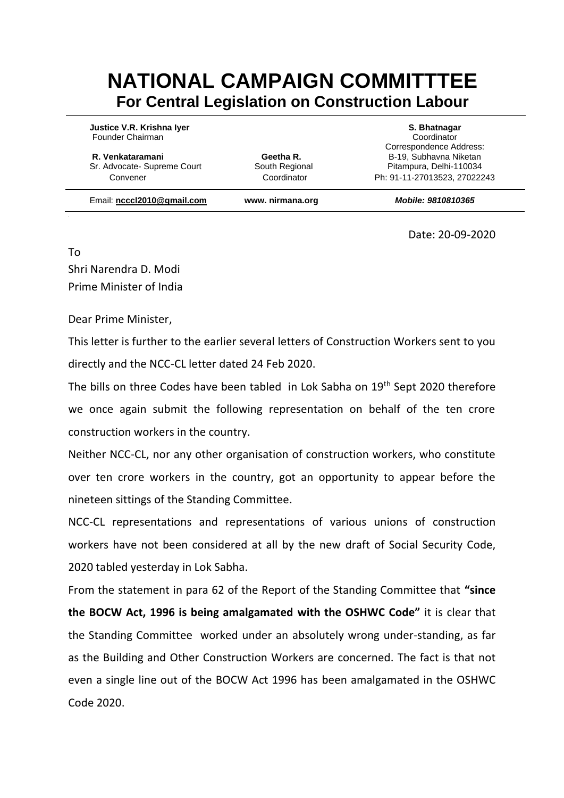# **NATIONAL CAMPAIGN COMMITTTEE For Central Legislation on Construction Labour**

**Justice V.R. Krishna Iyer S. Bhatnagar** Founder Chairman Coordinator

**R. Venkataramani Geetha R.** B-19, Subhavna Niketan **R.** B-19, Subhavna Niketan Sr. Advocate- Supreme Court South Regional Pitampura, Delhi-110034

Correspondence Address: Convener Coordinator Ph: 91-11-27013523, 27022243

Email: **[ncccl2010@gmail.com](mailto:ncccl2010@gmail.com) www. nirmana.org** *Mobile: 9810810365*

Date: 20-09-2020

To Shri Narendra D. Modi Prime Minister of India

Dear Prime Minister,

This letter is further to the earlier several letters of Construction Workers sent to you directly and the NCC-CL letter dated 24 Feb 2020.

The bills on three Codes have been tabled in Lok Sabha on 19<sup>th</sup> Sept 2020 therefore we once again submit the following representation on behalf of the ten crore construction workers in the country.

Neither NCC-CL, nor any other organisation of construction workers, who constitute over ten crore workers in the country, got an opportunity to appear before the nineteen sittings of the Standing Committee.

NCC-CL representations and representations of various unions of construction workers have not been considered at all by the new draft of Social Security Code, 2020 tabled yesterday in Lok Sabha.

From the statement in para 62 of the Report of the Standing Committee that **"since the BOCW Act, 1996 is being amalgamated with the OSHWC Code"** it is clear that the Standing Committee worked under an absolutely wrong under-standing, as far as the Building and Other Construction Workers are concerned. The fact is that not even a single line out of the BOCW Act 1996 has been amalgamated in the OSHWC Code 2020.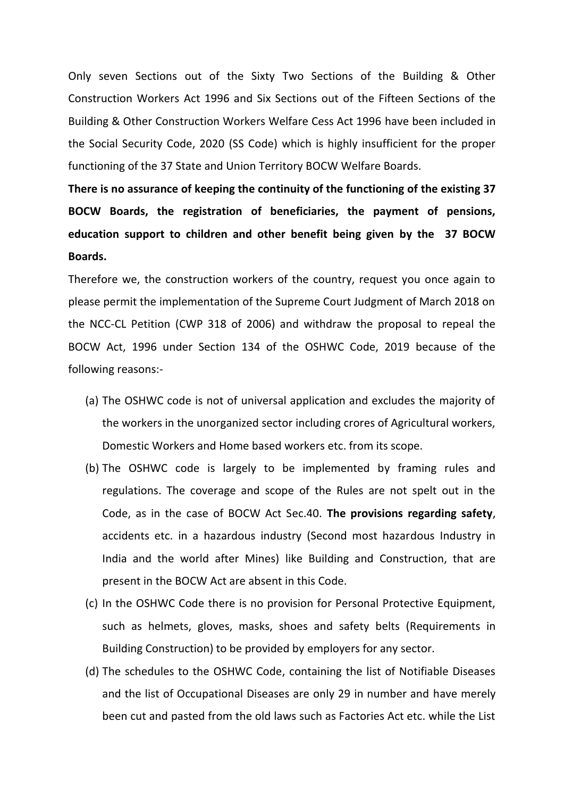Only seven Sections out of the Sixty Two Sections of the Building & Other Construction Workers Act 1996 and Six Sections out of the Fifteen Sections of the Building & Other Construction Workers Welfare Cess Act 1996 have been included in the Social Security Code, 2020 (SS Code) which is highly insufficient for the proper functioning of the 37 State and Union Territory BOCW Welfare Boards.

**There is no assurance of keeping the continuity of the functioning of the existing 37 BOCW Boards, the registration of beneficiaries, the payment of pensions, education support to children and other benefit being given by the 37 BOCW Boards.**

Therefore we, the construction workers of the country, request you once again to please permit the implementation of the Supreme Court Judgment of March 2018 on the NCC-CL Petition (CWP 318 of 2006) and withdraw the proposal to repeal the BOCW Act, 1996 under Section 134 of the OSHWC Code, 2019 because of the following reasons:-

- (a) The OSHWC code is not of universal application and excludes the majority of the workers in the unorganized sector including crores of Agricultural workers, Domestic Workers and Home based workers etc. from its scope.
- (b) The OSHWC code is largely to be implemented by framing rules and regulations. The coverage and scope of the Rules are not spelt out in the Code, as in the case of BOCW Act Sec.40. **The provisions regarding safety**, accidents etc. in a hazardous industry (Second most hazardous Industry in India and the world after Mines) like Building and Construction, that are present in the BOCW Act are absent in this Code.
- (c) In the OSHWC Code there is no provision for Personal Protective Equipment, such as helmets, gloves, masks, shoes and safety belts (Requirements in Building Construction) to be provided by employers for any sector.
- (d) The schedules to the OSHWC Code, containing the list of Notifiable Diseases and the list of Occupational Diseases are only 29 in number and have merely been cut and pasted from the old laws such as Factories Act etc. while the List